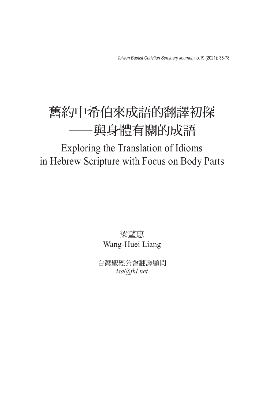*Taiwan Baptist Christian Seminary Journal*, no.19 (2021): 35-78

## 舊約中希伯來成語的翻譯初探 ——與身體有關的成語

## Exploring the Translation of Idioms in Hebrew Scripture with Focus on Body Parts

梁望惠 Wang-Huei Liang

台灣聖經公會翻譯顧問 *isa@fhl.net*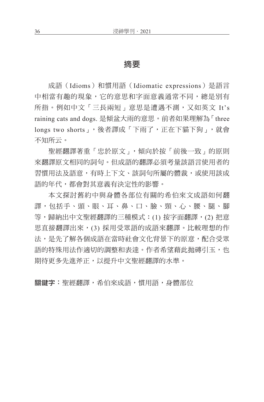## 摘要

成語(Idioms)和慣用語(Idiomatic expressions)是語言 中相當有趣的現象,它的意思和字面意義通常不同,總是別有 所指。例如中文「三長兩短」意思是遭遇不測,又如英文 It's raining cats and dogs. 是傾盆大雨的意思。前者如果理解為「three longs two shorts」,後者譯成「下雨了,正在下貓下狗」,就會 不知所云。

聖經翻譯著重「忠於原文」,傾向於按「前後一致」的原則 來翻譯原文相同的詞句。但成語的翻譯必須考量該語言使用者的 習慣用法及語意,有時上下文、該詞句所屬的體裁,或使用該成 語的年代,都會對其意義有決定性的影響。

本文探討舊約中與身體各部位有關的希伯來文成語如何翻 譯,包括手、頭、眼、耳、鼻、口、臉、頸、心、腰、腿、腳 等,歸納出中文聖經翻譯的三種模式:(1) 按字面翻譯,(2) 把意 思直接翻譯出來,(3) 採用受眾語的成語來翻譯。比較理想的作 法,是先了解各個成語在當時社會文化背景下的原意,配合受眾 語的特殊用法作適切的調整和表達。作者希望藉此拋磚引玉,也 期待更多先進斧正,以提升中文聖經翻譯的水準。

關鍵字:聖經翻譯,希伯來成語,慣用語,身體部位